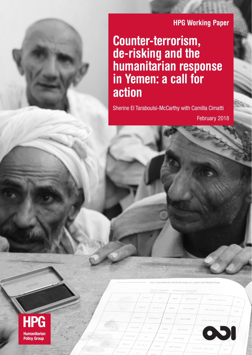### **HPG Working Paper**

**Counter-terrorism, de-risking and the humanitarian response in Yemen: a call for action** 

Sherine El Taraboulsi-McCarthy with Camilla Cimatti

February 2018



 $O(5TPIB11T10)$ 

18273281

 $\lambda$ da L

 $\overline{111}$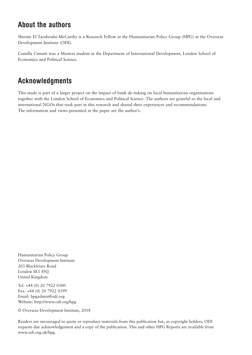### **About the authors**

Sherine El Taraboulsi-McCarthy is a Research Fellow at the Humanitarian Policy Group (HPG) at the Overseas Development Institute (ODI).

Camilla Cimatti was a Masters student in the Department of International Development, London School of Economics and Political Science.

### **Acknowledgments**

This study is part of a larger project on the impact of bank de-risking on local humanitarian organisations together with the London School of Economics and Political Science. The authors are grateful to the local and international NGOs that took part in this research and shared their experiences and recommendations. The information and views presented in the paper are the author's.

Humanitarian Policy Group Overseas Development Institute 203 Blackfriars Road London SE1 8NJ United Kingdom

Tel. +44 (0) 20 7922 0300 Fax. +44 (0) 20 7922 0399 Email: hpgadmin@odi.org Website: <http://www.odi.org/hpg>

© Overseas Development Institute, 2018

Readers are encouraged to quote or reproduce materials from this publication but, as copyright holders, ODI requests due acknowledgement and a copy of the publication. This and other HPG Reports are available from www.odi.org.uk/hpg.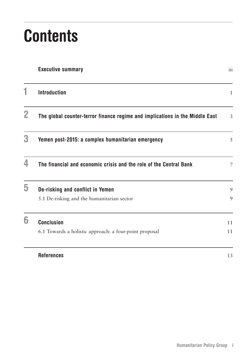# **Contents**

|             | <b>Executive summary</b>                                                     | $\overline{iii}$ |
|-------------|------------------------------------------------------------------------------|------------------|
| 1           | <b>Introduction</b>                                                          | $\mathbf{1}$     |
| $\mathbf 2$ | The global counter-terror finance regime and implications in the Middle East | 3                |
| 3           | Yemen post-2015: a complex humanitarian emergency                            | 5                |
| 4           | The financial and economic crisis and the role of the Central Bank           | 7                |
| 5           | De-risking and conflict in Yemen                                             | 9                |
|             | 5.1 De-risking and the humanitarian sector                                   | 9                |
| 6           | <b>Conclusion</b>                                                            | 11               |
|             | 6.1 Towards a holistic approach: a four-point proposal                       | 11               |
|             | <b>References</b>                                                            | 13               |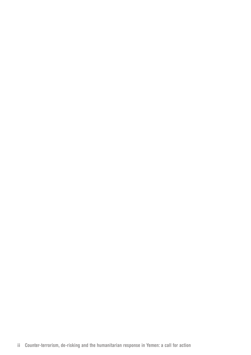**ii Counter-terrorism, de-risking and the humanitarian response in Yemen: a call for action**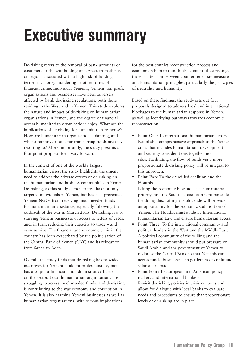# **Executive summary**

De-risking refers to the removal of bank accounts of customers or the withholding of services from clients or regions associated with a high risk of funding terrorism, money laundering or other forms of financial crime. Individual Yemenis, Yemeni non-profit organisations and businesses have been adversely affected by bank de-risking regulations, both those residing in the West and in Yemen. This study explores the nature and impact of de-risking on humanitarian organisations in Yemen, and the degree of financial access humanitarian organisations enjoy. What are the implications of de-risking for humanitarian response? How are humanitarian organisations adapting, and what alternative routes for transferring funds are they resorting to? More importantly, the study presents a four-point proposal for a way forward.

In the context of one of the world's largest humanitarian crises, the study highlights the urgent need to address the adverse effects of de-risking on the humanitarian and business communities in Yemen. De-risking, as this study demonstrates, has not only targeted individuals in Yemen, but has also prevented Yemeni NGOs from receiving much-needed funds for humanitarian assistance, especially following the outbreak of the war in March 2015. De-risking is also starving Yemeni businesses of access to letters of credit and, in turn, reducing their capacity to trade – and even survive. The financial and economic crisis in the country has been exacerbated by the politicisation of the Central Bank of Yemen (CBY) and its relocation from Sanaa to Aden.

Overall, the study finds that de-risking has provided incentives for Yemeni banks to professionalise, but has also put a financial and administrative burden on the sector. Local humanitarian organisations are struggling to access much-needed funds, and de-risking is contributing to the war economy and corruption in Yemen. It is also harming Yemeni businesses as well as humanitarian organisations, with serious implications

for the post-conflict reconstruction process and economic rehabilitation. In the context of de-risking, there is a tension between counter-terrorism measures and humanitarian principles, particularly the principles of neutrality and humanity.

Based on these findings, the study sets out four proposals designed to address local and international blockages to the humanitarian response in Yemen, as well as identifying pathways towards economic reconstruction.

- Point One: To international humanitarian actors. Establish a comprehensive approach to the Yemen crisis that includes humanitarian, development and security considerations together, not in silos. Facilitating the flow of funds via a more proportionate de-risking policy will be integral to this approach.
- Point Two: To the Saudi-led coalition and the Houthis.

Lifting the economic blockade is a humanitarian priority, and the Saudi-led coalition is responsible for doing this. Lifting the blockade will provide an opportunity for the economic stabilisation of Yemen. The Houthis must abide by International Humanitarian Law and ensure humanitarian access.

- Point Three: To the international community and political leaders in the West and the Middle East. A political community of the willing and the humanitarian community should put pressure on Saudi Arabia and the government of Yemen to revitalise the Central Bank so that Yemenis can access funds, businesses can get letters of credit and salaries are paid.
- Point Four: To European and American policymakers and international bankers. Revisit de-risking policies in crisis contexts and allow for dialogue with local banks to evaluate needs and procedures to ensure that proportionate levels of de-risking are in place.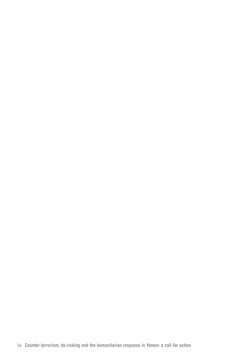**iv Counter-terrorism, de-risking and the humanitarian response in Yemen: a call for action**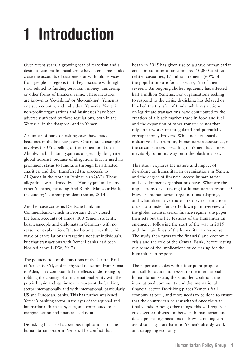# **1 Introduction**

Over recent years, a growing fear of terrorism and a desire to combat financial crime have seen some banks close the accounts of customers or withhold services from people or regions that they associate with high risks related to funding terrorism, money laundering or other forms of financial crime. These measures are known as 'de-risking' or 'de-banking'. Yemen is one such country, and individual Yemenis, Yemeni non-profit organisations and businesses have been adversely affected by these regulations, both in the West (i.e. in the diaspora) and in Yemen.

A number of bank de-risking cases have made headlines in the last few years. One notable example involves the US labelling of the Yemeni politician Abdulwahab al-Humayqani as a 'specially designated global terrorist' because of allegations that he used his prominent status to fundraise through his affiliated charities, and then transferred the proceeds to Al-Qaeda in the Arabian Peninsula (AQAP). These allegations were denied by al-Humayqani and many other Yemenis, including Abd Rabbu Mansour Hadi, the country's current president (Baron, 2014).

Another case concerns Deutsche Bank and Commerzbank, which in February 2017 closed the bank accounts of almost 100 Yemeni students, businesspeople and diplomats in Germany with no reason or explanation. It later became clear that this wave of cancellations is targeting not just individuals, but that transactions with Yemeni banks had been blocked as well (DW, 2017).

The politicisation of the functions of the Central Bank of Yemen (CBY), and its physical relocation from Sanaa to Aden, have compounded the effects of de-risking by robbing the country of a single national entity with the public buy-in and legitimacy to represent the banking sector internationally and with international, particularly US and European, banks. This has further weakened Yemen's banking sector in the eyes of the regional and international financial system, and contributed to its marginalisation and financial exclusion.

De-risking has also had serious implications for the humanitarian sector in Yemen. The conflict that

began in 2015 has given rise to a grave humanitarian crisis: in addition to an estimated 10,000 conflictrelated casualties, 17 million Yemenis (60% of the population) are food insecure, 7m of them severely. An ongoing cholera epidemic has affected half a million Yemenis. For organisations seeking to respond to the crisis, de-risking has delayed or blocked the transfer of funds, while restrictions on legitimate transactions have contributed to the creation of a black market trade in food and fuel and the expansion of other transfer routes that rely on networks of unregulated and potentially corrupt money brokers. While not necessarily indicative of corruption, humanitarian assistance, in the circumstances prevailing in Yemen, has almost inevitably found its way onto the black market.

This study explores the nature and impact of de-risking on humanitarian organisations in Yemen, and the degree of financial access humanitarian and development organisations have. What are the implications of de-risking for humanitarian response? How are humanitarian organisations adapting, and what alternative routes are they resorting to in order to transfer funds? Following an overview of the global counter-terror finance regime, the paper then sets out the key features of the humanitarian emergency following the start of the war in 2015 and the main lines of the humanitarian response. The study then turns to the financial and economic crisis and the role of the Central Bank, before setting out some of the implications of de-risking for the humanitarian response.

The paper concludes with a four-point proposal and call for action addressed to the international humanitarian sector, the Saudi-led coalition, the international community and the international financial sector. De-risking places Yemen's frail economy at peril, and more needs to be done to ensure that the country can be resuscitated once the war finally ends. Among other things, this will require a cross-sectoral discussion between humanitarian and development organisations on how de-risking can avoid causing more harm to Yemen's already weak and struggling economy.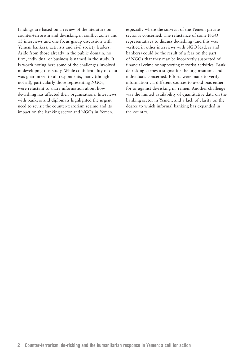Findings are based on a review of the literature on counter-terrorism and de-risking in conflict zones and 15 interviews and one focus group discussion with Yemeni bankers, activists and civil society leaders. Aside from those already in the public domain, no firm, individual or business is named in the study. It is worth noting here some of the challenges involved in developing this study. While confidentiality of data was guaranteed to all respondents, many (though not all), particularly those representing NGOs, were reluctant to share information about how de-risking has affected their organisations. Interviews with bankers and diplomats highlighted the urgent need to revisit the counter-terrorism regime and its impact on the banking sector and NGOs in Yemen,

especially where the survival of the Yemeni private sector is concerned. The reluctance of some NGO representatives to discuss de-risking (and this was verified in other interviews with NGO leaders and bankers) could be the result of a fear on the part of NGOs that they may be incorrectly suspected of financial crime or supporting terrorist activities. Bank de-risking carries a stigma for the organisations and individuals concerned. Efforts were made to verify information via different sources to avoid bias either for or against de-risking in Yemen. Another challenge was the limited availability of quantitative data on the banking sector in Yemen, and a lack of clarity on the degree to which informal banking has expanded in the country.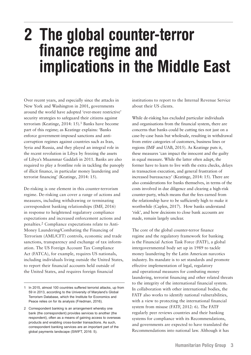## **2 The global counter-terror finance regime and implications in the Middle East**

Over recent years, and especially since the attacks in New York and Washington in 2001, governments around the world have adopted 'ever-more restrictive' security strategies to safeguard their citizens against terrorism (Keatinge, 2014: 15).1 Banks have become part of this regime; as Keatinge explains: 'Banks enforce government-imposed sanctions and anticorruption regimes against countries such as Iran, Syria and Russia, and they played an integral role in the recent revolution in Libya by freezing the assets of Libya's Muammar Gaddafi in 2011. Banks are also required to play a frontline role in tackling the panoply of illicit finance, in particular money laundering and terrorist financing' (Keatinge, 2014: 15).

De-risking is one element in this counter-terrorism regime. De-risking can cover a range of actions and measures, including withdrawing or terminating correspondent banking relationships (IMF, 2016) in response to heightened regulatory compliance expectations and increased enforcement actions and penalties.2 Compliance expectations relate to Anti-Money Laundering/Combating the Financing of Terrorism (AML/CFT) controls, economic and trade sanctions, transparency and exchange of tax information. The US Foreign Account Tax Compliance Act (FATCA), for example, requires US nationals, including individuals living outside the United States, to report their financial accounts held outside of the United States, and requires foreign financial

institutions to report to the Internal Revenue Service about their US clients.

While de-risking has excluded particular individuals and organisations from the financial system, there are concerns that banks could be cutting ties not just on a case-by-case basis but wholesale, resulting in withdrawal from entire categories of customers, business lines or regions (IMF and UAB, 2015). As Keatinge puts it, these measures 'can impact the innocent and the guilty in equal measure. While the latter often adapt, the former have to learn to live with the extra checks, delays in transaction execution, and general frustration of increased bureaucracy' (Keatinge, 2014: 15). There are also considerations for banks themselves, in terms of the costs involved in due diligence and clearing a high-risk counter-party, which means that the fees earned from the relationship have to be sufficiently high to make it worthwhile (Caplen, 2017). How banks understand 'risk', and how decisions to close bank accounts are made, remain largely unclear.

The core of the global counter-terror finance regime and the regulatory framework for banking is the Financial Action Task Force (FATF), a global intergovernmental body set up in 1989 to tackle money laundering by the Latin American narcotics industry. Its mandate is to set standards and promote effective implementation of legal, regulatory and operational measures for combating money laundering, terrorist financing and other related threats to the integrity of the international financial system. In collaboration with other international bodies, the FATF also works to identify national vulnerabilities, with a view to protecting the international financial system from misuse (FATF, 2012: 6). The FATF regularly peer reviews countries and their banking systems for compliance with its Recommendations, and governments are expected to have translated the Recommendations into national law. Although it has

<sup>1</sup> In 2015, almost 100 countries suffered terrorist attacks, up from 59 in 2013, according to the University of Maryland's Global Terrorism Database, which the Institute for Economics and Peace relies on for its analysis (Friedman, 2016).

<sup>2</sup> Correspondent banking is an arrangement whereby one bank (the correspondent) provides services to another (the respondent), often as a means of gaining access to overseas products and enabling cross-border transactions. As such, correspondent banking services are an important part of the global payments landscape (SWIFT, 2016: 5).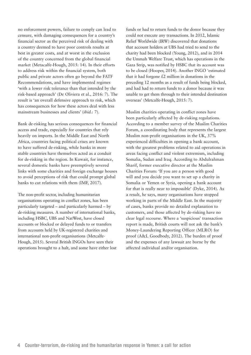no enforcement powers, failure to comply can lead to censure, with damaging consequences for a country's financial sector as the perceived risk of dealing with a country deemed to have poor controls results at best in greater costs, and at worst in the exclusion of the country concerned from the global financial market (Metacalfe-Hough, 2015: 14). In their efforts to address risk within the financial system, both public and private actors often go beyond the FATF Recommendations, and have implemented regimes 'with a lower risk tolerance than that intended by the risk-based approach' (De Oliviera et al., 2016: 7). The result is 'an overall defensive approach to risk, which has consequences for how these actors deal with less mainstream businesses and clients' (*ibid.*: 7).

Bank de-risking has serious consequences for financial access and trade, especially for countries that rely heavily on imports. In the Middle East and North Africa, countries facing political crises are known to have suffered de-risking, while banks in more stable countries have themselves acted as a conduit for de-risking in the region. In Kuwait, for instance, several domestic banks have preemptively severed links with some charities and foreign exchange houses to avoid perceptions of risk that could prompt global banks to cut relations with them (IMF, 2017).

The non-profit sector, including humanitarian organisations operating in conflict zones, has been particularly targeted – and particularly harmed – by de-risking measures. A number of international banks, including HSBC, UBS and NatWest, have closed accounts or blocked or delayed funds to or transfers from accounts held by UK-registered charities and international non-profit organisations (Metcalfe-Hough, 2015). Several British INGOs have seen their operations brought to a halt, and some have either lost

funds or had to return funds to the donor because they could not execute any transactions. In 2012, Islamic Relief Worldwide (IRW) discovered that donations that account holders at UBS had tried to send to the charity had been blocked (Young, 2012), and in 2014 the Ummah Welfare Trust, which has operations in the Gaza Strip, was notified by HSBC that its account was to be closed (Hooper, 2014). Another INGO 'estimated that it had forgone  $£2$  million in donations in the preceding 12 months as a result of funds being blocked, and had had to return funds to a donor because it was unable to get them through to their intended destination overseas' (Metcalfe-Hough, 2015: 7).

Muslim charities operating in conflict zones have been particularly affected by de-risking regulations. According to a member survey of the Muslim Charities Forum, a coordinating body that represents the largest Muslim non-profit organisations in the UK, 37% experienced difficulties in opening a bank account, with the greatest problems related to aid operations in areas facing conflict and violent extremism, including Somalia, Sudan and Iraq. According to Abdulrahman Sharif, former executive director at the Muslim Charities Forum: 'If you are a person with good will and you decide you want to set up a charity in Somalia or Yemen or Syria, opening a bank account for that is really near to impossible' (Dyke, 2014). As a result, he says, many organisations have stopped working in parts of the Middle East. In the majority of cases, banks provide no detailed explanation to customers, and those affected by de-risking have no clear legal recourse. Where a 'suspicious' transaction report is made, British courts will not ask the bank's Money-Laundering Reporting Officer (MLRO) for proof (A&L Goodbody, 2012). The burden of proof and the expenses of any lawsuit are borne by the affected individual and/or organisation.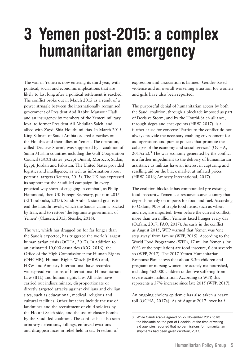## **3 Yemen post-2015: a complex humanitarian emergency**

The war in Yemen is now entering its third year, with political, social and economic implications that are likely to last long after a political settlement is reached. The conflict broke out in March 2015 as a result of a power struggle between the internationally recognised government of President Abd Rabbu Mansour Hadi and an insurgency by members of the Yemeni military loyal to former President Ali Abdullah Saleh, and allied with Zaydi Shia Houthi militias. In March 2015, King Salman of Saudi Arabia ordered airstrikes on the Houthis and their allies in Yemen. The operation, called 'Decisive Storm', was supported by a coalition of Sunni Muslim countries including the Gulf Cooperation Council (GCC) states (except Oman), Morocco, Sudan, Egypt, Jordan and Pakistan. The United States provided logistics and intelligence, as well as information about potential targets (Reuters, 2015). The UK has expressed its support for the Saudi-led campaign 'in every practical way short of engaging in combat', as Philip Hammond, then UK Foreign Secretary, put it in 2015 (El Taraboulsi, 2015). Saudi Arabia's stated goal is to end the Houthi revolt, which the Saudis claim is backed by Iran, and to restore 'the legitimate government of Yemen' (Clausen, 2015; Stenslie, 2016).

The war, which has dragged on for far longer than the Saudis expected, has triggered the world's largest humanitarian crisis (OCHA, 2017). In addition to an estimated 10,000 casualties (ICG, 2016), the Office of the High Commissioner for Human Rights (OHCHR), Human Rights Watch (HRW) and, HRW and Amnesty International have recorded widespread violations of International Humanitarian Law (IHL) and human rights law. All sides have carried out indiscriminate, disproportionate or directly targeted attacks against civilians and civilian sites, such as educational, medical, religious and cultural facilities. Other breaches include the use of landmines and the recruitment of child soldiers by the Houthi-Saleh side, and the use of cluster bombs by the Saudi-led coalition. The conflict has also seen arbitrary detentions, killings, enforced evictions and disappearances in rebel-held areas. Freedom of

expression and association is banned. Gender-based violence and an overall worsening situation for women and girls have also been reported.

The purposeful denial of humanitarian access by both the Saudi coalition, through a blockade imposed as part of Decisive Storm, and by the Houthi-Saleh alliance, through sieges and checkpoints (HRW, 2017), is a further cause for concern: 'Parties to the conflict do not always provide the necessary enabling environment for aid operations and pursue policies that promote the collapse of the economy and social services' (OCHA, 2017c: 2).3 The war economy generated by the conflict is a further impediment to the delivery of humanitarian assistance as militias have an interest in capturing and reselling aid on the black market at inflated prices (HRW, 2016; Amnesty International, 2017).

The coalition blockade has compounded pre-existing food insecurity. Yemen is a resource-scarce country that depends heavily on imports for food and fuel. According to Oxfam, 90% of staple food items, such as wheat and rice, are imported. Even before the current conflict, more than ten million Yemenis faced hunger every day (Oxfam, 2017; FAO, 2017). As early in the conflict as August 2015, WFP warned that Yemen was 'one step away' from famine (WFP, 2015). According to the World Food Programme (WFP), 17 million Yemenis (or 60% of the population) are food insecure, 6.8m severely so (WFP, 2017). The 2017 Yemen Humanitarian Response Plan shows that about 3.3m children and pregnant or nursing women are acutely malnourished, including 462,000 children under five suffering from severe acute malnutrition. According to WFP, this represents a 57% increase since late 2015 (WFP, 2017).

An ongoing cholera epidemic has also taken a heavy toll (OCHA, 2017a). As of August 2017, over half

<sup>3</sup> While Saudi Arabia agreed on 22 November 2017 to lift the blockade on the port of Hodeida, at the time of writing aid agencies reported that no permissions for humanitarian shipments had been given (Wintour, 2017).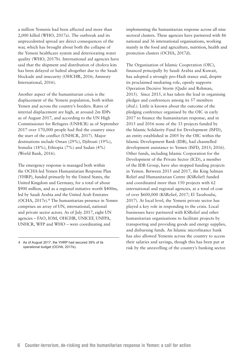a million Yemenis had been affected and more than 2,000 killed (WHO, 2017a). The outbreak and its unprecedented spread are direct consequences of the war, which has brought about both the collapse of the Yemeni healthcare system and deteriorating water quality (WHO, 2017b). International aid agencies have said that the shipment and distribution of cholera kits has been delayed or halted altogether due to the Saudi blockade and insecurity (OHCHR, 2016; Amnesty International, 2016).

Another aspect of the humanitarian crisis is the displacement of the Yemeni population, both within Yemen and across the country's borders. Rates of internal displacement are high, at around 2m IDPs as of August 2017, and according to the UN High Commissioner for Refugees (UNHCR) as of September 2017 over 170,000 people had fled the country since the start of the conflict (UNHCR, 2017). Major destinations include Oman (29%), Djibouti (19%), Somalia (18%), Ethiopia (7%) and Sudan (4%) (World Bank, 2016).

The emergency response is managed both within the OCHA-led Yemen Humanitarian Response Plan (YHRP), funded primarily by the United States, the United Kingdom and Germany, for a total of about \$900 million, and as a regional initiative worth \$400m, led by Saudi Arabia and the United Arab Emirates (OCHA, 2017e).4 The humanitarian presence in Yemen comprises an array of UN, international, national and private sector actors. As of July 2017, eight UN agencies – FAO, IOM, OHCHR, UNICEF, UNFPA, UNHCR, WFP and WHO – were coordinating and

4 As of August 2017, the YHRP had secured 39% of its operational budget (OCHA, 2017e).

implementing the humanitarian response across all nine sectoral clusters. These agencies have partnered with 86 national and 36 international organisations, working mainly in the food and agriculture, nutrition, health and protection clusters (OCHA, 2017d).

The Organisation of Islamic Cooperation (OIC), financed principally by Saudi Arabia and Kuwait, has adopted a strongly pro-Hadi stance and, despite its proclaimed mediating role, openly supports Operation Decisive Storm (Qadir and Rehman, 2015). Since 2015, it has taken the lead in organising pledges and conferences among its 57 members (*ibid*.). Little is known about the outcome of the pledging conference organised by the OIC in early 2017 to finance the humanitarian response, and in 2015 and 2016 none of the 33 projects funded by the Islamic Solidarity Fund for Development (ISFD), an entity established in 2005 by the OIC within the Islamic Development Bank (IDB), had channelled development assistance to Yemen (ISFD, 2015; 2016). Other funds, including Islamic Corporation for the Development of the Private Sector (ICD), a member of the IDB Group, have also stopped funding projects in Yemen. Between 2015 and 2017, the King Salman Relief and Humanitarian Centre (KSRelief) funded and coordinated more than 150 projects with 62 international and regional agencies, at a total of cost of over \$600,000 (KSRelief, 2017; El Taraboulsi, 2017). At local level, the Yemeni private sector has played a key role in responding to the crisis. Local businesses have partnered with KSRelief and other humanitarian organisations to facilitate projects by transporting and providing goods and energy supplies, and disbursing funds. An Islamic microfinance bank has also allowed Yemenis across the country to access their salaries and savings, though this has been put at risk by the unravelling of the country's banking sector.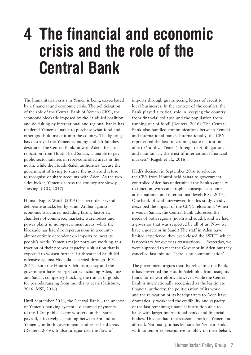## **4 The financial and economic crisis and the role of the Central Bank**

The humanitarian crisis in Yemen is being exacerbated by a financial and economic crisis. The politicisation of the role of the Central Bank of Yemen (CBY), the economic blockade imposed by the Saudi-led coalition and de-risking by international and regional banks has rendered Yemenis unable to purchase what food and other goods do make it into the country. The fighting has destroyed the Yemeni economy and left families destitute. The Central Bank, now in Aden after its relocation from Houthi-held Sanaa, is unable to pay public sector salaries in rebel-controlled areas in the north, while the Houthi-Saleh authorities 'accuse the government of trying to starve the north and refuse to recognise or share accounts with Aden. As the two sides bicker, Yemenis across the country are slowly starving' (ICG, 2017).

Human Rights Watch (2016) has recorded several deliberate attacks led by Saudi Arabia against economic structures, including farms, factories, chambers of commerce, markets, warehouses and power plants in non-government areas, while the blockade has had dire repercussions in a country almost entirely dependent on imports to meet its people's needs. Yemen's major ports are working at a fraction of their pre-war capacity, a situation that is expected to worsen further if a threatened Saudi-led offensive against Hodeida is carried through (ICG, 2017). Both the Houthi-Saleh insurgency and the government have besieged cities including Aden, Taiz and Sanaa, completely blocking the transit of goods for periods ranging from months to years (Salisbury, 2016; MSF, 2016).

Until September 2016, the Central Bank – the anchor of Yemen's banking system – disbursed payments to the 1.2m public sector workers on the state payroll, effectively sustaining between 5m and 6m Yemenis, in both government- and rebel-held areas (Reuters, 2016). It also safeguarded the flow of

imports through guaranteeing letters of credit to local businesses. In the context of the conflict, the Bank played a critical role in 'keeping the country from financial collapse and the population from running out of food' (Reuters, 2016). The Central Bank also handled communications between Yemeni and international banks. Internationally, the CBY represented the last functioning state institution able to 'fulfil … Yemen's foreign debt obligations and maintain … the trust of international financial markets' (Rageh et al., 2016).

Hadi's decision in September 2016 to relocate the CBY from Houthi-held Sanaa to governmentcontrolled Aden has undermined the Bank's capacity to function, with catastrophic consequences both at the national and international level (ICG, 2017). One bank official interviewed for this study vividly described the impact of the CBY's relocation: 'When it was in Sanaa, the Central Bank addressed the needs of both regions [north and south], and we had a governor that was respected by all of us. Now we have a governor in Saudi! The staff in Aden have limited experience, they even closed the SWIFT which is necessary for overseas transactions … Yesterday, we were supposed to meet the Governor in Aden but they cancelled last minute. There is no communication'.

The government argues that, by relocating the Bank, it has prevented the Houthi-Saleh bloc from using its funds for its war effort. However, while the Central Bank is internationally recognised as the legitimate financial authority, the politicisation of its work and the relocation of its headquarters to Aden have dramatically weakened the credibility and capacity of the last remaining financial institution able to liaise with larger international banks and financial bodies. This has had repercussions both in Yemen and abroad. Nationally, it has left smaller Yemeni banks with no senior representative to lobby on their behalf.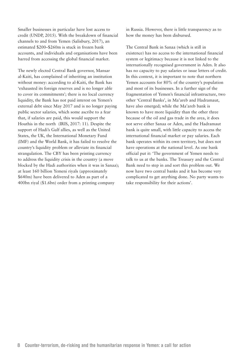Smaller businesses in particular have lost access to credit (UNDP, 2015). With the breakdown of financial channels to and from Yemen (Salisbury, 2017), an estimated \$200–\$260m is stuck in frozen bank accounts, and individuals and organisations have been barred from accessing the global financial market.

The newly elected Central Bank governor, Mansar al-Kaiti, has complained of inheriting an institution without money: according to al-Kaiti, the Bank has 'exhausted its foreign reserves and is no longer able to cover its commitments'; there is no local currency liquidity, the Bank has not paid interest on Yemen's external debt since May 2017 and is no longer paying public sector salaries, which some ascribe to a fear that, if salaries are paid, this would support the Houthis in the north (IRIS, 2017: 11). Despite the support of Hadi's Gulf allies, as well as the United States, the UK, the International Monetary Fund (IMF) and the World Bank, it has failed to resolve the country's liquidity problem or alleviate its financial strangulation. The CBY has been printing currency to address the liquidity crisis in the country (a move blocked by the Hadi authorities when it was in Sanaa); at least 160 billion Yemeni riyals (approximately \$640m) have been delivered to Aden as part of a 400bn riyal (\$1.6bn) order from a printing company

in Russia. However, there is little transparency as to how the money has been disbursed.

The Central Bank in Sanaa (which is still in existence) has no access to the international financial system or legitimacy because it is not linked to the internationally recognised government in Aden. It also has no capacity to pay salaries or issue letters of credit. In this context, it is important to note that northern Yemen accounts for 80% of the country's population and most of its businesses. In a further sign of the fragmentation of Yemen's financial infrastructure, two other 'Central Banks', in Ma'areb and Hadramaut, have also emerged; while the Ma'areb bank is known to have more liquidity than the other three because of the oil and gas trade in the area, it does not serve either Sanaa or Aden, and the Hadramaut bank is quite small, with little capacity to access the international financial market or pay salaries. Each bank operates within its own territory, but does not have operations at the national level. As one bank official put it: 'The government of Yemen needs to talk to us at the banks. The Treasury and the Central Bank need to step in and sort this problem out. We now have two central banks and it has become very complicated to get anything done. No party wants to take responsibility for their actions'.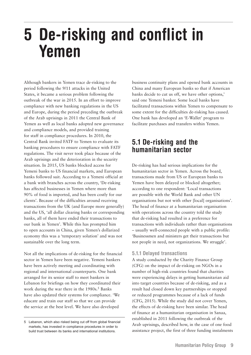# **5 De-risking and conflict in Yemen**

Although bankers in Yemen trace de-risking to the period following the 9/11 attacks in the United States, it became a serious problem following the outbreak of the war in 2015. In an effort to improve compliance with new banking regulations in the US and Europe, during the period preceding the outbreak of the Arab uprisings in 2011 the Central Bank of Yemen as well as local banks adopted new governance and compliance models, and provided training for staff in compliance procedures. In 2010, the Central Bank invited FATF to Yemen to evaluate its banking procedures to ensure compliance with FATF regulations. The visit never took place because of the Arab uprisings and the deterioration in the security situation. In 2015, US banks blocked access for Yemeni banks to US financial markets, and European banks followed suit. According to a Yemeni official at a bank with branches across the country, 'De-risking has affected businesses in Yemen where more than 90% of food is imported, and has been costly for our clients'. Because of the difficulties around receiving transactions from the UK (and Europe more generally) and the US, 'all dollar clearing banks or corresponding banks, all of them have ended their transactions to our bank in Yemen'. While this has prompted him to open accounts in China, given Yemen's dollarized economy this was a 'temporary solution' and was not sustainable over the long term.

Not all the implications of de-risking for the financial sector in Yemen have been negative. Yemeni bankers have been actively meeting and coordinating with regional and international counterparts. One bank arranged for its senior staff to meet bankers in Lebanon for briefings on how they coordinated their work during the war there in the 1980s.<sup>5</sup> Banks have also updated their systems for compliance. 'We educate and train our staff so that we can provide the service at the best level. We have also developed

business continuity plans and opened bank accounts in China and many European banks so that if American banks decide to cut us off, we have other options,' said one Yemeni banker. Some local banks have facilitated transactions within Yemen to compensate to some extent for the difficulties de-risking has caused. One bank has developed an 'E-Wallet' program to facilitate purchases and transfers within Yemen.

### **5.1 De-risking and the humanitarian sector**

De-risking has had serious implications for the humanitarian sector in Yemen. Across the board, transactions made from US or European banks to Yemen have been delayed or blocked altogether; according to one respondent: 'Local transactions are possible with the World Bank and other UN organisations but not with other [local] organisations'. The head of finance at a humanitarian organisation with operations across the country told the study that de-risking had resulted in a preference for transactions with individuals rather than organisations – usually well-connected people with a public profile: 'Businessmen and ministers get their transactions but not people in need, not organizations. We struggle'.

#### **5.1.1 Delayed transactions**

A study conducted by the Charity Finance Group (CFG) on the impact of de-risking on NGOs in a number of high-risk countries found that charities were experiencing delays in getting humanitarian aid into target countries because of de-risking, and as a result had closed down key partnerships or stopped or reduced programmes because of a lack of funds (CFG, 2015). While the study did not cover Yemen, the effects of de-risking have been similar. The head of finance at a humanitarian organisation in Sanaa, established in 2011 following the outbreak of the Arab uprisings, described how, in the case of one food assistance project, the first of three funding instalments

<sup>5</sup> Lebanon, which also risked being cut off from global financial markets, has invested in compliance procedures in order to build trust between its banks and international institutions.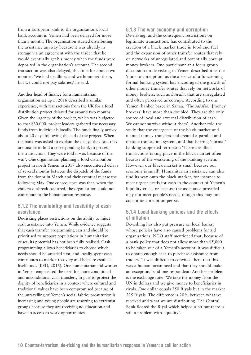from a European bank to the organisation's local bank account in Yemen had been delayed for more than a month. The organisation started distributing the assistance anyway because it was already in storage via an agreement with the trader that he would eventually get his money when the funds were deposited in the organisation's account. The second transaction was also delayed, this time for about two months. 'We had deadlines and we honoured them, but we could not pay salaries,' he said.

Another head of finance for a humanitarian organisation set up in 2016 described a similar experience, with transactions from the UK for a food distribution project delayed for around two months. Given the urgency of the project, which was budgeted to cost \$30,000, project leaders gathered the necessary funds from individuals locally. The funds finally arrived about 20 days following the end of the project. When the bank was asked to explain the delay, 'they said they are unable to find a corresponding bank to process the transaction. They were told it was because of the war'. One organisation planning a food distribution project in north Yemen in 2017 also encountered delays of several months between the dispatch of the funds from the donor in March and their eventual release the following May. One consequence was that, when the cholera outbreak occurred, the organisation could not contribute to the humanitarian response.

#### **5.1.2 The availability and feasibility of cash assistance**

De-risking places restrictions on the ability to inject cash assistance into Yemen. While evidence suggests that cash transfer programming can and should be prioritised to support populations in humanitarian crises, its potential has not been fully realised. Cash programming allows beneficiaries to choose which needs should be satisfied first, and locally spent cash contributes to market recovery and helps re-establish livelihoods (IIED, 2016). One humanitarian aid worker in Yemen emphasised the need for more conditional and unconditional cash transfers, in part to protect the dignity of beneficiaries in a context where cultural and traditional values have been compromised because of the unravelling of Yemen's social fabric; prostitution is increasing and young people are resorting to extremist groups because they are receiving no education and have no access to work opportunities.

#### **5.1.3 The war economy and corruption**  De-risking, and the consequent restrictions on legitimate transactions, has contributed to the creation of a black market trade in food and fuel and the expansion of other transfer routes that rely on networks of unregulated and potentially corrupt money brokers. One participant at a focus group discussion on de-risking in Yemen described it as the 'door to corruption' as the absence of a functioning formal banking system has encouraged the growth of other money transfer routes that rely on networks of money brokers, such as *hawala*, that are unregulated and often perceived as corrupt. According to one Yemeni banker based in Sanaa, 'The *sarafeen* [money brokers] have more than doubled. They are the only source of local and external distribution of cash. We cannot survive without them'. Another told the study that the emergence of the black market and manual money transfers had created a parallel and

opaque transaction system, and that barring 'normal' banking supported terrorism: 'There are illicit transactions taking place in the black market often because of the weakening of the banking system. However, our black market is small because our economy is small'. Humanitarian assistance can also find its way onto the black market, for instance to meet urgent needs for cash in the context of Yemen's liquidity crisis, or because the assistance provided may not meet people's needs, though this may not constitute corruption per se.

#### **5.1.4 Local banking policies and the effects of inflation**

De-risking has also put pressure on local banks, whose policies have also caused problems for aid organisations. NGO staff mentioned that, because of a bank policy that does not allow more than \$5,000 to be taken out of a Yemeni's account, it was difficult to obtain enough cash to purchase assistance from traders. 'It was difficult to convince them that this was a humanitarian need and that they should make an exception,' said one respondent. Another problem is the exchange rate: 'We take the money from the UN in dollars and we give money to beneficiaries in riyals. One dollar equals 250 Riyals but in the market 325 Riyals. The difference is 20% between what we received and what we are distributing. The Central Bank floated the Riyal which helped a bit but there is still a problem with liquidity'.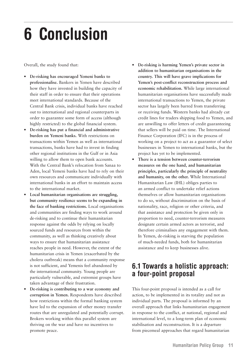# **6 Conclusion**

Overall, the study found that:

- **De-risking has encouraged Yemeni banks to professionalise.** Bankers in Yemen have described how they have invested in building the capacity of their staff in order to ensure that their operations meet international standards. Because of the Central Bank crisis, individual banks have reached out to international and regional counterparts in order to guarantee some form of access (although highly restricted) to the global financial system.
- **De-risking has put a financial and administrative burden on Yemeni banks.** With restrictions on transactions within Yemen as well as international transactions, banks have had to invest in finding other regional institutions in the Gulf or in Asia willing to allow them to open bank accounts. With the Central Bank's relocation from Sanaa to Aden, local Yemeni banks have had to rely on their own resources and communicate individually with international banks in an effort to maintain access to the international market.
- **Local humanitarian organisations are struggling, but community resilience seems to be expanding in the face of banking restrictions.** Local organisations and communities are finding ways to work around de-risking and to continue their humanitarian response against the odds by relying on locally sourced funds and resources from within the community, as well as thinking creatively about ways to ensure that humanitarian assistance reaches people in need. However, the extent of the humanitarian crisis in Yemen (exacerbated by the cholera outbreak) means that a community response is not sufficient, and Yemenis feel abandoned by the international community. Young people are particularly vulnerable, and extremist groups have taken advantage of their frustration.
- **De-risking is contributing to a war economy and corruption in Yemen.** Respondents have described how restrictions within the formal banking system have led to the expansion of other money transfer routes that are unregulated and potentially corrupt. Brokers working within this parallel system are thriving on the war and have no incentives to promote peace.
- **De-risking is harming Yemen's private sector in addition to humanitarian organisations in the country. This will have grave implications for Yemen's post-conflict reconstruction process and economic rehabilitation.** While large international humanitarian organisations have successfully made international transactions to Yemen, the private sector has largely been barred from transferring or receiving funds. Western banks had already cut credit lines for traders shipping food to Yemen, and are unwilling to offer letters of credit guaranteeing that sellers will be paid on time. The International Finance Corporation (IFC) is in the process of working on a project to act as a guarantor of select businesses in Yemen to international banks, but the project has yet to be implemented.
- **There is a tension between counter-terrorism measures on the one hand, and humanitarian principles, particularly the principle of neutrality and humanity, on the other.** While International Humanitarian Law (IHL) obliges parties to an armed conflict to undertake relief actions themselves or allow humanitarian organisations to do so, without discrimination on the basis of nationality, race, religion or other criteria, and that assistance and protection be given only in proportion to need, counter-terrorism measures designate certain armed actors as terrorist, and therefore criminalises any engagement with them. In Yemen, de-risking is starving the population of much-needed funds, both for humanitarian assistance and to keep businesses alive.

### **6.1 Towards a holistic approach: a four-point proposal**

This four-point proposal is intended as a call for action, to be implemented in its totality and not as individual parts. The proposal is informed by an overall approach that links humanitarian engagement in response to the conflict, at national, regional and international level, to a long-term plan of economic stabilisation and reconstruction. It is a departure from piecemeal approaches that regard humanitarian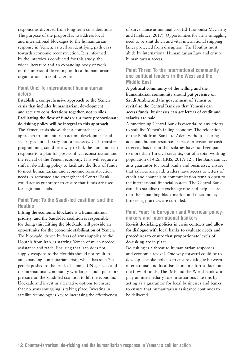response as divorced from long-term considerations. The purpose of the proposal is to address local and international blockages to the humanitarian response in Yemen, as well as identifying pathways towards economic reconstruction. It is informed by the interviews conducted for this study, the wider literature and an expanding body of work on the impact of de-risking on local humanitarian organisations in conflict zones.

#### **Point One: To international humanitarian actors**

**Establish a comprehensive approach to the Yemen crisis that includes humanitarian, development and security considerations together, not in silos. Facilitating the flow of funds via a more proportionate de-risking policy will be integral to this approach.** The Yemen crisis shows that a comprehensive approach to humanitarian action, development and security is not a luxury but a necessity. Cash transfer programming could be a way to link the humanitarian response to a plan for post-conflict reconstruction and the revival of the Yemeni economy. This will require a shift in de-risking policy to facilitate the flow of funds to meet humanitarian and economic reconstruction needs. A reformed and strengthened Central Bank could act as guarantor to ensure that funds are used for legitimate ends.

#### **Point Two: To the Saudi-led coalition and the Houthis**

**Lifting the economic blockade is a humanitarian priority, and the Saudi-led coalition is responsible for doing this. Lifting the blockade will provide an opportunity for the economic stabilisation of Yemen.** The blockade, driven by fears of arms supplies to the Houthis from Iran, is starving Yemen of much-needed assistance and trade. Ensuring that Iran does not supply weapons to the Houthis should not result in an expanding humanitarian crisis, which has seen 7m people pushed to the brink of famine. UN agencies and the international community writ large should put more pressure on the Saudi-led coalition to lift the economic blockade and invest in alternative options to ensure that no arms smuggling is taking place. Investing in satellite technology is key to increasing the effectiveness

of surveillance at minimal cost (El Taraboulsi-McCarthy and Firebrace, 2017). Opportunities for arms smuggling need to be shut down and vital international shipping lanes protected from disruption. The Houthis must abide by International Humanitarian Law and ensure humanitarian access.

#### **Point Three: To the international community and political leaders in the West and the Middle East**

**A political community of the willing and the humanitarian community should put pressure on Saudi Arabia and the government of Yemen to revitalise the Central Bank so that Yemenis can access funds, businesses can get letters of credit and salaries are paid.**

A functioning Central Bank is essential to any efforts to stabilise Yemen's failing economy. The relocation of the Bank from Sanaa to Aden, without ensuring adequate human resources, service provision or cash reserves, has meant that salaries have not been paid to more than 1m civil servants, out of a total working population of 4.2m (IRIS, 2017: 12). The Bank can act as a guarantor for local banks and businesses, ensure that salaries are paid, traders have access to letters of credit and channels of communication remain open to the international financial system. The Central Bank can also stabilise the exchange rate and help ensure that the expanding black market and illicit money brokering practices are curtailed.

#### **Point Four: To European and American policymakers and international bankers**

**Revisit de-risking policies in crisis contexts and allow for dialogue with local banks to evaluate needs and procedures to ensure that proportionate levels of de-risking are in place.** 

De-risking is a threat to humanitarian responses and economic revival. One way forward could be to develop bespoke policies to ensure dialogue between international and local banks in an effort to facilitate the flow of funds. The IMF and the World Bank can play an intermediary role in situations like this by acting as a guarantor for local businesses and banks, to ensure that humanitarian assistance continues to be delivered.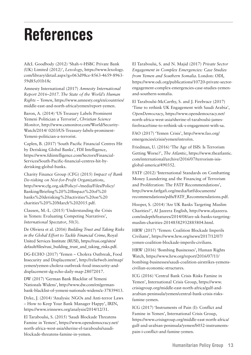# **References**

A&L Goodbody (2012) 'Shah-v-HSBC Private Bank (UK) Limited (2012)', *Lexology*, [https://www.lexology.](https://www.lexology.com/library/detail.aspx?g=063d98ce-8563-4659-8963-%2059d85c01b18c) [com/library/detail.aspx?g=063d98ce-8563-4659-8963-](https://www.lexology.com/library/detail.aspx?g=063d98ce-8563-4659-8963-%2059d85c01b18c)  [59d85c01b18c](https://www.lexology.com/library/detail.aspx?g=063d98ce-8563-4659-8963-%2059d85c01b18c)

Amnesty International (2017) *Amnesty International Report 2016–2017. The State of the World's Human Rights – Yemen*, [https://www.amnesty.org/en/countries/](https://www.amnesty.org/en/countries/middle-east-and-north-africa/yemen/report-yemen) [middle-east-and-north-africa/yemen/report-yemen.](https://www.amnesty.org/en/countries/middle-east-and-north-africa/yemen/report-yemen)

Baron, A. (2014) 'US Treasury Labels Prominent Yemeni Politician a Terrorist', *Christian Science Monitor*, [http://www.csmonitor.com/World/Security-](http://www.csmonitor.com/World/Security-Watch/2014/%200203/US-Treasury-labels-prominent-Yemeni-politician-a-terrorist)[Watch/2014/ 0203/US-Treasury-labels-prominent-](http://www.csmonitor.com/World/Security-Watch/2014/%200203/US-Treasury-labels-prominent-Yemeni-politician-a-terrorist)[Yemeni-politician-a-terrorist](http://www.csmonitor.com/World/Security-Watch/2014/%200203/US-Treasury-labels-prominent-Yemeni-politician-a-terrorist).

Caplen, B. (2017) 'South Pacific Financial Centres Hit by Derisking Global Banks', FDI Intelligence, [https://www.fdiintelligence.com/Sectors/Financial-](https://www.fdiintelligence.com/Sectors/Financial-Services/South-Pacific-financial-centres-hit-by-derisking-global-banks)[Services/South-Pacific-financial-centres-hit-by](https://www.fdiintelligence.com/Sectors/Financial-Services/South-Pacific-financial-centres-hit-by-derisking-global-banks)[derisking-global-banks](https://www.fdiintelligence.com/Sectors/Financial-Services/South-Pacific-financial-centres-hit-by-derisking-global-banks).

Charity Finance Group (CFG) (2015) *Impact of Bank De-risking on Not-for-Profit Organizations*, [http://www.cfg.org.uk/Policy/~/media/Files/Policy/](http://www.cfg.org.uk/Policy/~/media/Files/Policy/Banking/Briefing%20%20Impact%20of%20banks%20derisking%20activities%20on%20charities%20%20March%202015.pdf) [Banking/Briefing%20%20Impact%20of%20](http://www.cfg.org.uk/Policy/~/media/Files/Policy/Banking/Briefing%20%20Impact%20of%20banks%20derisking%20activities%20on%20charities%20%20March%202015.pdf) [banks%20derisking%20activities%20on%20](http://www.cfg.org.uk/Policy/~/media/Files/Policy/Banking/Briefing%20%20Impact%20of%20banks%20derisking%20activities%20on%20charities%20%20March%202015.pdf) [charities%20%20March%202015.pdf.](http://www.cfg.org.uk/Policy/~/media/Files/Policy/Banking/Briefing%20%20Impact%20of%20banks%20derisking%20activities%20on%20charities%20%20March%202015.pdf)

Clausen, M.-L. (2015) 'Understanding the Crisis in Yemen: Evaluating Competing Narratives', *International Spectator*, 50(3).

De Oliviera et al. (2016) *Building Trust and Taking Risks in the Global Effort to Tackle Financial Crime*, Royal United Services Institute (RUSI), [https://rusi.org/sites/](https://rusi.org/sites/default/files/rusi_building_trust_and_taking_risks.pdf) [default/files/rusi\\_building\\_trust\\_and\\_taking\\_risks.pdf.](https://rusi.org/sites/default/files/rusi_building_trust_and_taking_risks.pdf)

DG-ECHO (2017) 'Yemen – Cholera Outbreak, Food Insecurity and Displacement', [http://reliefweb.int/map/](http://reliefweb.int/map/yemen/yemen-cholera-outbreak-food-insecurity-and-displacement-dg-echo-daily-map-28072017) [yemen/yemen-cholera-outbreak-food-insecurity-and](http://reliefweb.int/map/yemen/yemen-cholera-outbreak-food-insecurity-and-displacement-dg-echo-daily-map-28072017)[displacement-dg-echo-daily-map-28072017](http://reliefweb.int/map/yemen/yemen-cholera-outbreak-food-insecurity-and-displacement-dg-echo-daily-map-28072017).

DW (2017) 'German Bank Blacklist of Yemeni Nationals Widens', [http://www.dw.com/en/german](http://www.dw.com/en/german-bank-blacklist-of-yemeni-nationals-widens/a-37839413)[bank-blacklist-of-yemeni-nationals-widens/a-37839413](http://www.dw.com/en/german-bank-blacklist-of-yemeni-nationals-widens/a-37839413).

Dyke, J. (2014) 'Analysis: NGOs and Anti-terror Laws – How to Keep Your Bank Manager Happy', IRIN, <https://www.irinnews.org/analysis/2014/12/31>.

El Taraboulsi, S. (2015) 'Saudi Blockade Threatens Famine in Yemen', [https://www.opendemocracy.net/](https://www.opendemocracy.net/north-africa-west-asia/sherine-el-taraboulsi/saudi-blockade-threatens-famine-in-yemen) [north-africa-west-asia/sherine-el-taraboulsi/saudi](https://www.opendemocracy.net/north-africa-west-asia/sherine-el-taraboulsi/saudi-blockade-threatens-famine-in-yemen)[blockade-threatens-famine-in-yemen.](https://www.opendemocracy.net/north-africa-west-asia/sherine-el-taraboulsi/saudi-blockade-threatens-famine-in-yemen)

El Taraboulsi, S. and N. Majid (2017) *Private Sector Engagement in Complex Emergencies: Case Studies from Yemen and Southern Somalia*. London: ODI, [https://www.odi.org/publications/10720-private-sector](https://www.odi.org/publications/10720-private-sector-engagement-complex-emergencies-case-studies-yemen-and-southern-somalia)[engagement-complex-emergencies-case-studies-yemen](https://www.odi.org/publications/10720-private-sector-engagement-complex-emergencies-case-studies-yemen-and-southern-somalia)[and-southern-somalia.](https://www.odi.org/publications/10720-private-sector-engagement-complex-emergencies-case-studies-yemen-and-southern-somalia)

El Taraboulsi-McCarthy, S. and J. Firebrace (2017) 'Time to rethink UK Engagement with Saudi Arabia', *OpenDemocracy*, [https://www.opendemocracy.net/](https://www.opendemocracy.net/%20north-africa-west-asia/sherine-el-taraboulsi-james-firebrace/time-to-rethink-uk-s-engagement-with-sa)  [north-africa-west-asia/sherine-el-taraboulsi-james](https://www.opendemocracy.net/%20north-africa-west-asia/sherine-el-taraboulsi-james-firebrace/time-to-rethink-uk-s-engagement-with-sa)[firebrace/time-to-rethink-uk-s-engagement-with-sa.](https://www.opendemocracy.net/%20north-africa-west-asia/sherine-el-taraboulsi-james-firebrace/time-to-rethink-uk-s-engagement-with-sa)

FAO (2017) 'Yemen Crisis', http://www.fao.org/ emergencies/crisis/yemen/intro/en.

Friedman, U. (2016) 'The Age of ISIS: Is Terrorism Getting Worse?', *The Atlantic*, [https://www.theatlantic.](https://www.theatlantic.com/international/archive/2016/07/terrorism-isis-global-america/490352) [com/international/archive/2016/07/terrorism-isis](https://www.theatlantic.com/international/archive/2016/07/terrorism-isis-global-america/490352)[global-america/490352.](https://www.theatlantic.com/international/archive/2016/07/terrorism-isis-global-america/490352)

FATF (2012) 'International Standards on Combatting Money Laundering and the Financing of Terrorism and Proliferation: The FATF Recommendations', [http://www.fatfgafi.org/media/fatf/documents/](http://www.fatfgafi.org/media/fatf/documents/recommendations/pdfs/FATF_Recommendations.pdf) [recommendations/pdfs/FATF\\_Recommendations.pdf](http://www.fatfgafi.org/media/fatf/documents/recommendations/pdfs/FATF_Recommendations.pdf).

Hooper, S. (2014) 'Are UK Banks Targeting Muslim Charities?', Al Jazeera English, [http://www.aljazeera.](http://www.aljazeera.com/indepth/features/2014/08/are-uk-banks-targeting-muslim-charities-20148582932885804.html) [com/indepth/features/2014/08/are-uk-banks-targeting](http://www.aljazeera.com/indepth/features/2014/08/are-uk-banks-targeting-muslim-charities-20148582932885804.html)[muslim-charities-20148582932885804.html](http://www.aljazeera.com/indepth/features/2014/08/are-uk-banks-targeting-muslim-charities-20148582932885804.html).

HRW (2017) 'Yemen: Coalition Blockade Imperils Civilians', [https://www.hrw.org/news/2017/12/07/](https://www.hrw.org/news/2017/12/07/yemen-coalition-blockade-imperils-civilians) [yemen-coalition-blockade-imperils-civilians.](https://www.hrw.org/news/2017/12/07/yemen-coalition-blockade-imperils-civilians)

HRW (2016) 'Bombing Businesses', Human Rights Watch, [https://www.hrw.org/report/2016/07/11/](https://www.hrw.org/report/2016/07/11/bombing-businesses/saudi-coalition-airstrikes-yemens-civilian-economic-structures) [bombing-businesses/saudi-coalition-airstrikes-yemens](https://www.hrw.org/report/2016/07/11/bombing-businesses/saudi-coalition-airstrikes-yemens-civilian-economic-structures)[civilian-economic-structures.](https://www.hrw.org/report/2016/07/11/bombing-businesses/saudi-coalition-airstrikes-yemens-civilian-economic-structures)

ICG (2016) 'Central Bank Crisis Risks Famine in Yemen', International Crisis Group, [https://www.](https://www.crisisgroup.org/middle-east-north-africa/gulf-and-arabian-peninsula/yemen/central-bank-crisis-risks-famine-yemen) [crisisgroup.org/middle-east-north-africa/gulf-and](https://www.crisisgroup.org/middle-east-north-africa/gulf-and-arabian-peninsula/yemen/central-bank-crisis-risks-famine-yemen)[arabian-peninsula/yemen/central-bank-crisis-risks](https://www.crisisgroup.org/middle-east-north-africa/gulf-and-arabian-peninsula/yemen/central-bank-crisis-risks-famine-yemen)[famine-yemen](https://www.crisisgroup.org/middle-east-north-africa/gulf-and-arabian-peninsula/yemen/central-bank-crisis-risks-famine-yemen).

ICG (2017) 'Instruments of Pain (I): Conflict and Famine in Yemen', International Crisis Group, [https://www.crisisgroup.org/middle-east-north-africa/](https://www.crisisgroup.org/middle-east-north-africa/gulf-and-arabian-peninsula/yemen/b052-instruments-pain-i-conflict-and-famine-yemen) [gulf-and-arabian-peninsula/yemen/b052-instruments](https://www.crisisgroup.org/middle-east-north-africa/gulf-and-arabian-peninsula/yemen/b052-instruments-pain-i-conflict-and-famine-yemen)[pain-i-conflict-and-famine-yemen.](https://www.crisisgroup.org/middle-east-north-africa/gulf-and-arabian-peninsula/yemen/b052-instruments-pain-i-conflict-and-famine-yemen)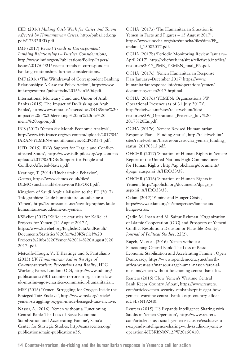IIED (2016) *Making Cash Work for Cities and Towns Affected by Humanitarian Crises*, [http://pubs.iied.org/](http://pubs.iied.org/%20pdfs/17352IIED.pdf)  [pdfs/17352IIED.pdf.](http://pubs.iied.org/%20pdfs/17352IIED.pdf)

IMF (2017) *Recent Trends in Correspondent Banking Relationships – Further Considerations*, [http://www.imf.org/en/Publications/Policy-Papers/](http://www.imf.org/en/Publications/Policy-Papers/Issues/2017/04/21/%20recent-trends-in-correspondent-banking-relationships-further-considerations) [Issues/2017/04/21/ recent-trends-in-correspondent](http://www.imf.org/en/Publications/Policy-Papers/Issues/2017/04/21/%20recent-trends-in-correspondent-banking-relationships-further-considerations)[banking-relationships-further-considerations](http://www.imf.org/en/Publications/Policy-Papers/Issues/2017/04/21/%20recent-trends-in-correspondent-banking-relationships-further-considerations).

IMF (2016) 'The Withdrawal of Correspondent Banking Relationships: A Case for Policy Action', [https://www.](https://www.imf.org/external/pubs/ft/sdn/2016/sdn1606.pdf) [imf.org/external/pubs/ft/sdn/2016/sdn1606.pdf](https://www.imf.org/external/pubs/ft/sdn/2016/sdn1606.pdf).

International Monetary Fund and Union of Arab Banks (2015) 'The Impact of De-Risking on Arab Banks', [http://www.nmta.us/assets/docs/DOBS/the%20](http://www.nmta.us/assets/docs/DOBS/the%20impact%20of%20derisking%20on%20the%20mena%20region.pdf) [impact%20of%20derisking%20on%20the%20](http://www.nmta.us/assets/docs/DOBS/the%20impact%20of%20derisking%20on%20the%20mena%20region.pdf) [mena%20region.pdf](http://www.nmta.us/assets/docs/DOBS/the%20impact%20of%20derisking%20on%20the%20mena%20region.pdf).

IRIS (2017) 'Yemen Six Month Economic Analysis', [http://www.iris-france.org/wp-content/uploads/2017/04/](http://www.iris-france.org/wp-content/uploads/2017/04/%20IARAN-YEMEN-6-month-analysis-REPORT-1.pdf)  [IARAN-YEMEN-6-month-analysis-REPORT-1.pdf.](http://www.iris-france.org/wp-content/uploads/2017/04/%20IARAN-YEMEN-6-month-analysis-REPORT-1.pdf)

ISFD (2015) 'IDB's Support for Fragile and Conflictaffected States', [https://www.isdb-pilot.org/wp-content/](https://www.isdb-pilot.org/wp-content/uploads/2017/05/IDBs-Support-for-Fragile-and-Conflict-Affected-States.pdf) [uploads/2017/05/IDBs-Support-for-Fragile-and-](https://www.isdb-pilot.org/wp-content/uploads/2017/05/IDBs-Support-for-Fragile-and-Conflict-Affected-States.pdf)[Conflict-Affected-States.pdf](https://www.isdb-pilot.org/wp-content/uploads/2017/05/IDBs-Support-for-Fragile-and-Conflict-Affected-States.pdf).

Keatinge, T. (2014) 'Uncharitable Behavior', *Demos*, [https://www.demos.co.uk/files/](https://www.demos.co.uk/files/DEMOSuncharitablebehaviourREPORT.pdf) [DEMOSuncharitablebehaviourREPORT.pdf.](https://www.demos.co.uk/files/DEMOSuncharitablebehaviourREPORT.pdf)

Kingdom of Saudi Arabia Mission to the EU (2017) 'Infographies: L'aide humanitaire saoudienne au Yémen', [http://ksamissioneu.net/en/infographies-laide](http://ksamissioneu.net/en/infographies-laide-humanitaire-saoudienne-au-yemen)[humanitaire-saoudienne-au-yemen](http://ksamissioneu.net/en/infographies-laide-humanitaire-saoudienne-au-yemen).

KSRelief (2017) 'KSRelief: Statistics for KSRelief Projects for Yemen (14 August 2017)', [https://www.ksrelief.org/English/DataAndResult/](https://www.ksrelief.org/English/DataAndResult/%20Documents/Statistics%20for%20KSrelief%20Projects%20for%20Yemen%20(14%20August%20%202017).pdf)  [Documents/Statistics%20for%20KSrelief%20](https://www.ksrelief.org/English/DataAndResult/%20Documents/Statistics%20for%20KSrelief%20Projects%20for%20Yemen%20(14%20August%20%202017).pdf) [Projects%20for%20Yemen%20\(14%20August%20](https://www.ksrelief.org/English/DataAndResult/%20Documents/Statistics%20for%20KSrelief%20Projects%20for%20Yemen%20(14%20August%20%202017).pdf)  [2017\).pdf](https://www.ksrelief.org/English/DataAndResult/%20Documents/Statistics%20for%20KSrelief%20Projects%20for%20Yemen%20(14%20August%20%202017).pdf).

Metcalfe-Hough, V., T. Keatinge and S. Pantuliano (2015) *UK Humanitarian Aid in the Age of Counter-terrorism: Perceptions and Reality*, HPG Working Paper. London: ODI, [https://www.odi.org/](https://www.odi.org/publications/9301-counter-terrorism-legislation-law-uk-muslim-ngos-charities-commission-humanitarian) [publications/9301-counter-terrorism-legislation-law](https://www.odi.org/publications/9301-counter-terrorism-legislation-law-uk-muslim-ngos-charities-commission-humanitarian)[uk-muslim-ngos-charities-commission-humanitarian](https://www.odi.org/publications/9301-counter-terrorism-legislation-law-uk-muslim-ngos-charities-commission-humanitarian).

MSF (2016) 'Yemen: Struggling for Oxygen Inside the Besieged Taiz Enclave', [http://www.msf.org/article/](http://www.msf.org/article/yemen-struggling-oxygen-inside-besieged-taiz-enclave) [yemen-struggling-oxygen-inside-besieged-taiz-enclave](http://www.msf.org/article/yemen-struggling-oxygen-inside-besieged-taiz-enclave).

Nasser, A. (2016) 'Yemen without a Functioning Central Bank: The Loss of Basic Economic Stabilization and Accelerating Famine', Sana'a Center for Strategic Studies, [http://sanaacenter.org/](http://sanaacenter.org/%20publications/main-publications/55)  [publications/main-publications/55.](http://sanaacenter.org/%20publications/main-publications/55)

OCHA (2017a) 'The Humanitarian Situation in Yemen in Facts and Figures – 15 August 2017', [https://www.unocha.org/sites/unocha/files/dms/FF\\_](https://www.unocha.org/sites/unocha/files/dms/FF_%20updated_15082017.pdf)  [updated\\_15082017.pdf.](https://www.unocha.org/sites/unocha/files/dms/FF_%20updated_15082017.pdf)

OCHA (2017b) 'Periodic Monitoring Review January– April 2017', [http://reliefweb.int/sites/reliefweb.int/files/](http://reliefweb.int/sites/reliefweb.int/files/resources/2017_PMR_YEMEN_final_EN.pdf) [resources/2017\\_PMR\\_YEMEN\\_final\\_EN.pdf.](http://reliefweb.int/sites/reliefweb.int/files/resources/2017_PMR_YEMEN_final_EN.pdf)

OCHA (2017c) 'Yemen Humanitarian Response Plan January–December 2017' [https://www.](https://www.humanitarianresponse.info/en/operations/yemen/document/yemen2017-hrpfinal) [humanitarianresponse.info/en/operations/yemen/](https://www.humanitarianresponse.info/en/operations/yemen/document/yemen2017-hrpfinal) [document/yemen2017-hrpfinal](https://www.humanitarianresponse.info/en/operations/yemen/document/yemen2017-hrpfinal).

OCHA (2017d) 'YEMEN: Organizations 3W Operational Presence (as of 31 July 2017)', [http://reliefweb.int/sites/reliefweb.int/files/](http://reliefweb.int/sites/reliefweb.int/files/%20resources/3W_Operational_Presence_July%20%202017%20En.pdf)  [resources/3W\\_Operational\\_Presence\\_July%20](http://reliefweb.int/sites/reliefweb.int/files/%20resources/3W_Operational_Presence_July%20%202017%20En.pdf)  [2017%20En.pdf](http://reliefweb.int/sites/reliefweb.int/files/%20resources/3W_Operational_Presence_July%20%202017%20En.pdf).

OCHA (2017e) 'Yemen: Revised Humanitarian Response Plan – Funding Status', [http://reliefweb.int/](http://reliefweb.int/sites/reliefweb.int/files/resources/ocha_yemen_funding_status_20170815.pdf) [sites/reliefweb.int/files/resources/ocha\\_yemen\\_funding\\_](http://reliefweb.int/sites/reliefweb.int/files/resources/ocha_yemen_funding_status_20170815.pdf) [status\\_20170815.pdf.](http://reliefweb.int/sites/reliefweb.int/files/resources/ocha_yemen_funding_status_20170815.pdf)

OHCHR (2017) 'Situation of Human Rights in Yemen: Report of the United Nations High Commissioner for Human Rights', [http://ap.ohchr.org/documents/](http://ap.ohchr.org/documents/%20dpage_e.aspx?si=A/HRC/33/38)  [dpage\\_e.aspx?si=A/HRC/33/38](http://ap.ohchr.org/documents/%20dpage_e.aspx?si=A/HRC/33/38).

OHCHR (2016) 'Situation of Human Rights in Yemen', [http://ap.ohchr.org/documents/dpage\\_e.](http://ap.ohchr.org/documents/dpage_e.aspx?si=A/HRC/33/38) [aspx?si=A/HRC/33/38.](http://ap.ohchr.org/documents/dpage_e.aspx?si=A/HRC/33/38)

Oxfam (2017) 'Famine and Hunger Crisis', [https://www.oxfam.org/en/emergencies/famine-and](https://www.oxfam.org/en/emergencies/famine-and-hunger-crisis)[hunger-crisis.](https://www.oxfam.org/en/emergencies/famine-and-hunger-crisis)

Qadir, M. Ihsan and M. Saifur Rehman, 'Organization of Islamic Cooperation (OIC) and Prospects of Yemeni Conflict Resolution: Delusion or Plausible Reality', *Journal of Political Studies*, 22(2).

Rageh, M. et al. (2016) 'Yemen without a Functioning Central Bank: The Loss of Basic Economic Stabilisation and Accelerating Famine', Open Democracy, [https://www.opendemocracy.net/north](https://www.opendemocracy.net/north-africa-west-asia/mansour-rageh-amal-nasser-farea-al-muslimi/yemen-without-functioning-central-bank-los)[africa-west-asia/mansour-rageh-amal-nasser-farea-al](https://www.opendemocracy.net/north-africa-west-asia/mansour-rageh-amal-nasser-farea-al-muslimi/yemen-without-functioning-central-bank-los)[muslimi/yemen-without-functioning-central-bank-los](https://www.opendemocracy.net/north-africa-west-asia/mansour-rageh-amal-nasser-farea-al-muslimi/yemen-without-functioning-central-bank-los).

Reuters (2016) 'How Yemen's Wartime Central Bank Keeps Country Afloat', [https://www.reuters.](https://www.reuters.com/article/yemen-security-cenbank/rpt-insight-how-yemens-wartime-central-bank-keeps-country-afloat-idUSL8N1924I0) [com/article/yemen-security-cenbank/rpt-insight-how](https://www.reuters.com/article/yemen-security-cenbank/rpt-insight-how-yemens-wartime-central-bank-keeps-country-afloat-idUSL8N1924I0)[yemens-wartime-central-bank-keeps-country-afloat](https://www.reuters.com/article/yemen-security-cenbank/rpt-insight-how-yemens-wartime-central-bank-keeps-country-afloat-idUSL8N1924I0)[idUSL8N1924I0.](https://www.reuters.com/article/yemen-security-cenbank/rpt-insight-how-yemens-wartime-central-bank-keeps-country-afloat-idUSL8N1924I0)

Reuters (2015) 'US Expands Intelligence Sharing with Saudis in Yemen Operation', [https://www.reuters.](https://www.reuters.com/article/us-usa-saudi-yemen-exclusive/exclusive-u-s-expands-intelligence-sharing-with-saudis-in-yemen-operation-idUSKBN0N129W20150410) [com/article/us-usa-saudi-yemen-exclusive/exclusive-u](https://www.reuters.com/article/us-usa-saudi-yemen-exclusive/exclusive-u-s-expands-intelligence-sharing-with-saudis-in-yemen-operation-idUSKBN0N129W20150410)[s-expands-intelligence-sharing-with-saudis-in-yemen](https://www.reuters.com/article/us-usa-saudi-yemen-exclusive/exclusive-u-s-expands-intelligence-sharing-with-saudis-in-yemen-operation-idUSKBN0N129W20150410)[operation-idUSKBN0N129W20150410](https://www.reuters.com/article/us-usa-saudi-yemen-exclusive/exclusive-u-s-expands-intelligence-sharing-with-saudis-in-yemen-operation-idUSKBN0N129W20150410).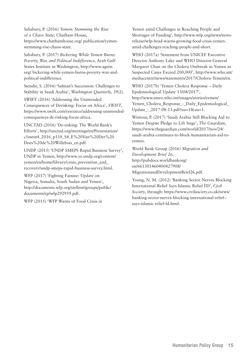Salisbury, P. (2016) *Yemen: Stemming the Rise of a Chaos State*, Chatham House, [https://www.chathamhouse.org/ publication/yemen](https://www.chathamhouse.org/%20publication/yemen-stemming-rise-chaos-state)[stemming-rise-chaos-state.](https://www.chathamhouse.org/%20publication/yemen-stemming-rise-chaos-state)

Salisbury, P. (2017) *Bickering While Yemen Burns: Poverty, War, and Political Indifference*, Arab Gulf States Institute in Washington, [http://www.agsiw.](http://www.agsiw.org/%20bickering-while-yemen-burns-poverty-war-and-political-indifference) [org/ bickering-while-yemen-burns-poverty-war-and](http://www.agsiw.org/%20bickering-while-yemen-burns-poverty-war-and-political-indifference)[political-indifference.](http://www.agsiw.org/%20bickering-while-yemen-burns-poverty-war-and-political-indifference)

Stenslie, S. (2016) 'Salman's Succession: Challenges to Stability in Saudi Arabia', *Washington Quarterly*, 39(2).

SWIFT (2016) 'Addressing the Unintended Consequences of Derisking: Focus on Africa', *SWIFT*, [https://www.swift.com/resource/addressing-unintended](https://www.swift.com/resource/addressing-unintended-consequences-de-risking-focus-africa)[consequences-de-risking-focus-africa](https://www.swift.com/resource/addressing-unintended-consequences-de-risking-focus-africa).

UNCTAD (2016) 'De-risking: The World Bank's Efforts', [http://unctad.org/meetings/en/Presentation/](http://unctad.org/meetings/en/Presentation/c1mem4_2016_p118_S4_E%20Van%20Der%20%20Does%20de%20Willebois_en.pdf) [c1mem4\\_2016\\_p118\\_S4\\_E%20Van%20Der%20](http://unctad.org/meetings/en/Presentation/c1mem4_2016_p118_S4_E%20Van%20Der%20%20Does%20de%20Willebois_en.pdf)  [Does%20de%20Willebois\\_en.pdf](http://unctad.org/meetings/en/Presentation/c1mem4_2016_p118_S4_E%20Van%20Der%20%20Does%20de%20Willebois_en.pdf).

UNDP (2015) 'UNDP SMEPS Rapid Business Survey', UNDP in Yemen, [http://www.ye.undp.org/content/](http://www.ye.undp.org/content/yemen/en/home/library/crisis_prevention_and_%20recovery/undp-smeps-rapid-business-survey.html) [yemen/en/home/library/crisis\\_prevention\\_and\\_](http://www.ye.undp.org/content/yemen/en/home/library/crisis_prevention_and_%20recovery/undp-smeps-rapid-business-survey.html)  [recovery/undp-smeps-rapid-business-survey.html.](http://www.ye.undp.org/content/yemen/en/home/library/crisis_prevention_and_%20recovery/undp-smeps-rapid-business-survey.html)

WFP (2017) 'Fighting Famine: Update on Nigeria, Somalia, South Sudan and Yemen', [http://documents.wfp.org/stellent/groups/public/](http://documents.wfp.org/stellent/groups/public/documents/ep/wfp292959.pdf) [documents/ep/wfp292959.pdf](http://documents.wfp.org/stellent/groups/public/documents/ep/wfp292959.pdf).

WFP (2015) 'WFP Warns of Food Crisis in

Yemen amid Challenges in Reaching People and Shortages of Funding', [http://www.wfp.org/news/news](http://www.wfp.org/news/news-release/wfp-head-warns-growing-food-crisis-yemen-amid-challenges-reaching-people-and-short)[release/wfp-head-warns-growing-food-crisis-yemen](http://www.wfp.org/news/news-release/wfp-head-warns-growing-food-crisis-yemen-amid-challenges-reaching-people-and-short)[amid-challenges-reaching-people-and-short.](http://www.wfp.org/news/news-release/wfp-head-warns-growing-food-crisis-yemen-amid-challenges-reaching-people-and-short)

WHO (2017a) 'Statement from UNICEF Executive Director Anthony Lake and WHO Director-General Margaret Chan on the Cholera Outbreak in Yemen as Suspected Cases Exceed 200,000', [http://www.who.int/](http://www.who.int/%20mediacentre/news/statements/2017/Cholera-Yemen/en)  [mediacentre/news/statements/2017/Cholera-Yemen/en.](http://www.who.int/%20mediacentre/news/statements/2017/Cholera-Yemen/en)

WHO (2017b) 'Yemen Cholera Response – Daily Epidemiological Update 13/08/2017', [http://www.emro.who.int/images/stories/yemen/](http://www.emro.who.int/images/stories/yemen/%20Yemen_Cholera_Response_-_Daily_Epidemiological_Update_-_2017-08-13.pdf?ua=1&ua=1)  [Yemen\\_Cholera\\_Response\\_-\\_Daily\\_Epidemiological\\_](http://www.emro.who.int/images/stories/yemen/%20Yemen_Cholera_Response_-_Daily_Epidemiological_Update_-_2017-08-13.pdf?ua=1&ua=1) [Update\\_-\\_2017-08-13.pdf?ua=1&ua=1](http://www.emro.who.int/images/stories/yemen/%20Yemen_Cholera_Response_-_Daily_Epidemiological_Update_-_2017-08-13.pdf?ua=1&ua=1).

Wintour, P. (2017) 'Saudi Arabia Still Blocking Aid to Yemen Despite Pledge to Lift Siege', *The Guardian*, [https://www.theguardian.com/world/2017/nov/24/](https://www.theguardian.com/world/2017/nov/24/saudi-arabia-continues-to-block-humanitarian-aid-to-yemen) [saudi-arabia-continues-to-block-humanitarian-aid-to](https://www.theguardian.com/world/2017/nov/24/saudi-arabia-continues-to-block-humanitarian-aid-to-yemen)[yemen.](https://www.theguardian.com/world/2017/nov/24/saudi-arabia-continues-to-block-humanitarian-aid-to-yemen)

World Bank Group (2016) *Migration and Development Brief 26*, [http://pubdocs.worldbankorg/](http://pubdocs.worldbankorg/en/661301460400427908/MigrationandDevelopmentBrief26.pdf) [en/661301460400427908/](http://pubdocs.worldbankorg/en/661301460400427908/MigrationandDevelopmentBrief26.pdf) [MigrationandDevelopmentBrief26.pdf](http://pubdocs.worldbankorg/en/661301460400427908/MigrationandDevelopmentBrief26.pdf).

Young, N. M. (2012) 'Banking Sector Nerves Blocking International Relief Says Islamic Relief FD', *Civil Society*, through: [https://www.civilsociety.co.uk/news/](https://www.civilsociety.co.uk/news/banking-sector-nerves-blocking-international-relief--says-islamic-relief-fd.html) [banking-sector-nerves-blocking-international-relief-](https://www.civilsociety.co.uk/news/banking-sector-nerves-blocking-international-relief--says-islamic-relief-fd.html) [says-islamic-relief-fd.html](https://www.civilsociety.co.uk/news/banking-sector-nerves-blocking-international-relief--says-islamic-relief-fd.html).